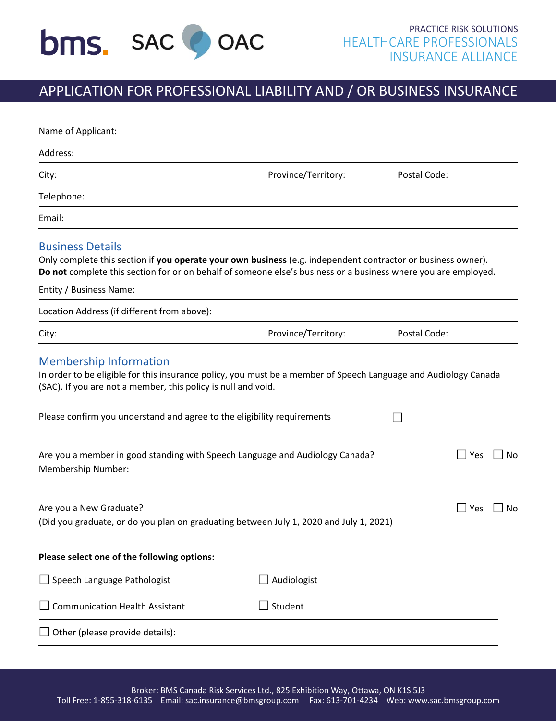

# APPLICATION FOR PROFESSIONAL LIABILITY AND / OR BUSINESS INSURANCE

| Name of Applicant:                                                                                                                                                                                                                                          |                     |              |
|-------------------------------------------------------------------------------------------------------------------------------------------------------------------------------------------------------------------------------------------------------------|---------------------|--------------|
| Address:                                                                                                                                                                                                                                                    |                     |              |
| City:                                                                                                                                                                                                                                                       | Province/Territory: | Postal Code: |
| Telephone:                                                                                                                                                                                                                                                  |                     |              |
| Email:                                                                                                                                                                                                                                                      |                     |              |
| <b>Business Details</b><br>Only complete this section if you operate your own business (e.g. independent contractor or business owner).<br>Do not complete this section for or on behalf of someone else's business or a business where you are employed.   |                     |              |
| Entity / Business Name:                                                                                                                                                                                                                                     |                     |              |
| Location Address (if different from above):                                                                                                                                                                                                                 |                     |              |
| City:                                                                                                                                                                                                                                                       | Province/Territory: | Postal Code: |
| In order to be eligible for this insurance policy, you must be a member of Speech Language and Audiology Canada<br>(SAC). If you are not a member, this policy is null and void.<br>Please confirm you understand and agree to the eligibility requirements |                     |              |
| Are you a member in good standing with Speech Language and Audiology Canada?<br>Membership Number:                                                                                                                                                          |                     | Yes<br>No    |
| Are you a New Graduate?<br>(Did you graduate, or do you plan on graduating between July 1, 2020 and July 1, 2021)                                                                                                                                           |                     | Yes<br>No    |
| Please select one of the following options:                                                                                                                                                                                                                 |                     |              |
| $\Box$ Speech Language Pathologist                                                                                                                                                                                                                          | Audiologist         |              |
| <b>Communication Health Assistant</b>                                                                                                                                                                                                                       | Student             |              |
| $\Box$ Other (please provide details):                                                                                                                                                                                                                      |                     |              |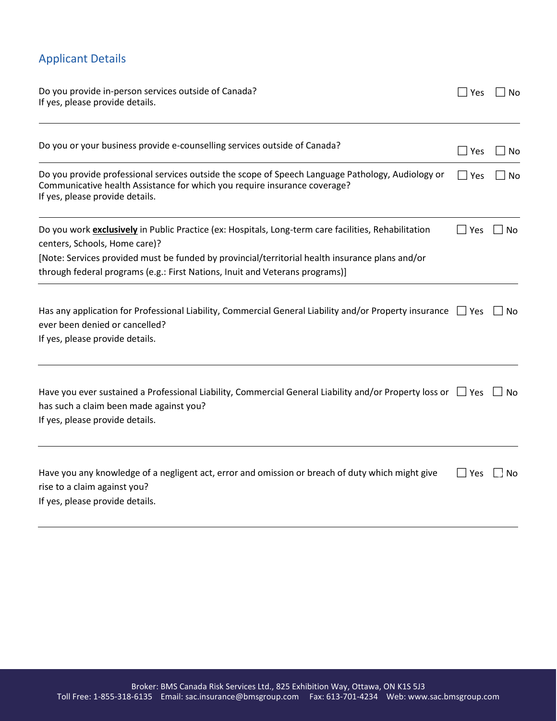# Applicant Details

| Do you provide in-person services outside of Canada?<br>If yes, please provide details.                                                                                                                           | Yes        | No        |
|-------------------------------------------------------------------------------------------------------------------------------------------------------------------------------------------------------------------|------------|-----------|
| Do you or your business provide e-counselling services outside of Canada?                                                                                                                                         | ∣∣Yes      | No        |
| Do you provide professional services outside the scope of Speech Language Pathology, Audiology or<br>Communicative health Assistance for which you require insurance coverage?<br>If yes, please provide details. | $\Box$ Yes | No        |
| Do you work exclusively in Public Practice (ex: Hospitals, Long-term care facilities, Rehabilitation<br>centers, Schools, Home care)?                                                                             | $\Box$ Yes | $\Box$ No |
| [Note: Services provided must be funded by provincial/territorial health insurance plans and/or<br>through federal programs (e.g.: First Nations, Inuit and Veterans programs)]                                   |            |           |
| Has any application for Professional Liability, Commercial General Liability and/or Property insurance $\Box$ Yes<br>ever been denied or cancelled?<br>If yes, please provide details.                            |            | $\Box$ No |
| Have you ever sustained a Professional Liability, Commercial General Liability and/or Property loss or $\Box$ Yes<br>has such a claim been made against you?<br>If yes, please provide details.                   |            | No        |
| Have you any knowledge of a negligent act, error and omission or breach of duty which might give<br>rise to a claim against you?<br>If yes, please provide details.                                               | Yes        | No        |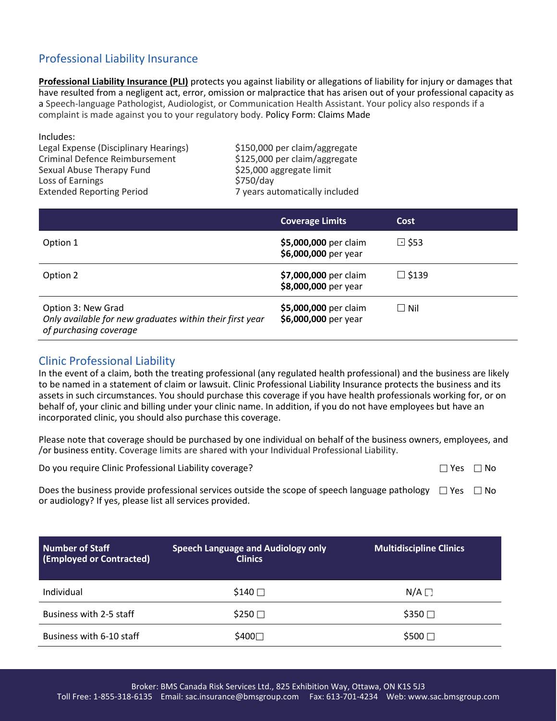## Professional Liability Insurance

**Professional Liability Insurance (PLI)** protects you against liability or allegations of liability for injury or damages that have resulted from a negligent act, error, omission or malpractice that has arisen out of your professional capacity as a Speech-language Pathologist, Audiologist, or Communication Health Assistant. Your policy also responds if a complaint is made against you to your regulatory body. Policy Form: Claims Made

Includes: Legal Expense (Disciplinary Hearings) \$150,000 per claim/aggregate Criminal Defence Reimbursement \$125,000 per claim/aggregate Sexual Abuse Therapy Fund \$25,000 aggregate limit Loss of Earnings **\$750/day** Extended Reporting Period 7 years automatically included

|                                                                                                          | <b>Coverage Limits</b>                        | <b>Cost</b>  |
|----------------------------------------------------------------------------------------------------------|-----------------------------------------------|--------------|
| Option 1                                                                                                 | \$5,000,000 per claim<br>\$6,000,000 per year | $\Box$ \$53  |
| Option 2                                                                                                 | \$7,000,000 per claim<br>\$8,000,000 per year | $\Box$ \$139 |
| Option 3: New Grad<br>Only available for new graduates within their first year<br>of purchasing coverage | \$5,000,000 per claim<br>\$6,000,000 per year | $\Box$ Nil   |

### Clinic Professional Liability

In the event of a claim, both the treating professional (any regulated health professional) and the business are likely to be named in a statement of claim or lawsuit. Clinic Professional Liability Insurance protects the business and its assets in such circumstances. You should purchase this coverage if you have health professionals working for, or on behalf of, your clinic and billing under your clinic name. In addition, if you do not have employees but have an incorporated clinic, you should also purchase this coverage.

Please note that coverage should be purchased by one individual on behalf of the business owners, employees, and /or business entity. Coverage limits are shared with your Individual Professional Liability.

Do you require Clinic Professional Liability coverage?

| ง∩ |
|----|
|    |

Does the business provide professional services outside the scope of speech language pathology  $\Box$  Yes  $\Box$  No or audiology? If yes, please list all services provided.

| Number of Staff<br>(Employed or Contracted) | <b>Speech Language and Audiology only</b><br><b>Clinics</b> | <b>Multidiscipline Clinics</b> |
|---------------------------------------------|-------------------------------------------------------------|--------------------------------|
| Individual                                  | $$140\Box$                                                  | $N/A \Box$                     |
| Business with 2-5 staff                     | $$250$ $\square$                                            | $$350$ $\square$               |
| Business with 6-10 staff                    | \$400□                                                      | $$500$ $\square$               |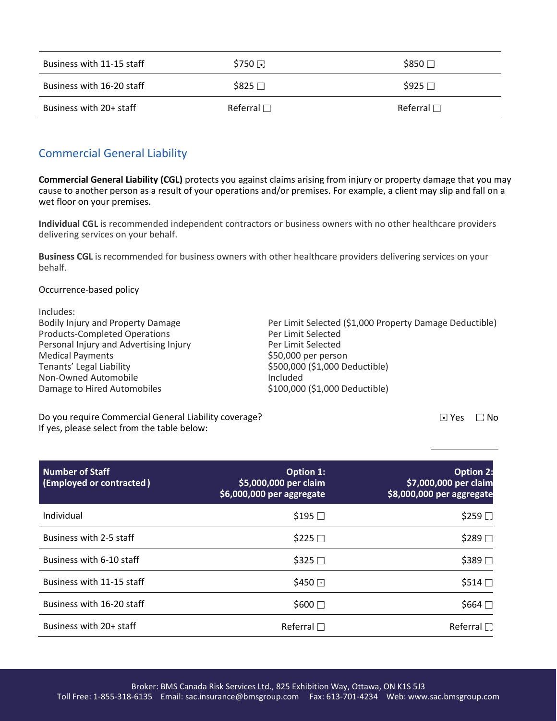| Business with 11-15 staff | $$750$ $\Box$   | $$850$ $\square$ |
|---------------------------|-----------------|------------------|
| Business with 16-20 staff | \$825 □         | $$925 \square$   |
| Business with 20+ staff   | Referral $\Box$ | Referral $\Box$  |

### Commercial General Liability

**Commercial General Liability (CGL)** protects you against claims arising from injury or property damage that you may cause to another person as a result of your operations and/or premises. For example, a client may slip and fall on a wet floor on your premises.

**Individual CGL** is recommended independent contractors or business owners with no other healthcare providers delivering services on your behalf.

**Business CGL** is recommended for business owners with other healthcare providers delivering services on your behalf.

#### Occurrence-based policy

Includes:<br>Bodily Injury and Property Damage Per Limit Selected (\$1,000 Property Damage Deductible) Products-Completed Operations<br>
Per Limit Selected<br>
Per Limit Selected Personal Injury and Advertising Injury Medical Payments<br>
Tenants' Legal Liability<br>
Tenants' Legal Liability<br>
Tenants' Legal Liability \$500,000 (\$1,000 Deductible) Non-Owned Automobile **Included** Damage to Hired Automobiles **\$100,000** (\$1,000 Deductible)

Do you require Commercial General Liability coverage? If yes, please select from the table below:

 $\Box$  Yes  $\Box$  No

| <b>Number of Staff</b><br>(Employed or contracted) | <b>Option 1:</b><br>\$5,000,000 per claim<br>\$6,000,000 per aggregate | <b>Option 2:</b><br>\$7,000,000 per claim<br>\$8,000,000 per aggregate |
|----------------------------------------------------|------------------------------------------------------------------------|------------------------------------------------------------------------|
| Individual                                         | \$195 □                                                                | $$259$ $\square$                                                       |
| Business with 2-5 staff                            | $$225$ $\square$                                                       | \$289□                                                                 |
| Business with 6-10 staff                           | $$325$ $\square$                                                       | $$389$ $\square$                                                       |
| Business with 11-15 staff                          | $$450$ $\Box$                                                          | $$514$ $\Box$                                                          |
| Business with 16-20 staff                          | $$600 \square$                                                         | $$664$ $\square$                                                       |
| Business with 20+ staff                            | Referral $\Box$                                                        | Referral $\Box$                                                        |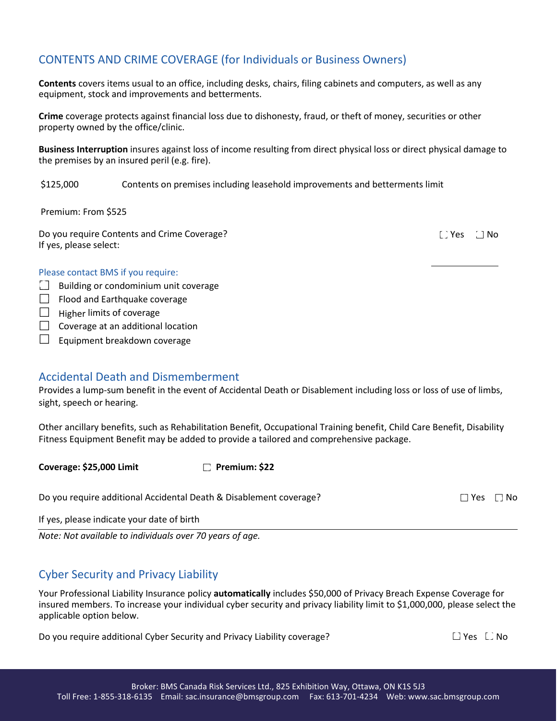### CONTENTS AND CRIME COVERAGE (for Individuals or Business Owners)

**Contents** covers items usual to an office, including desks, chairs, filing cabinets and computers, as well as any equipment, stock and improvements and betterments.

**Crime** coverage protects against financial loss due to dishonesty, fraud, or theft of money, securities or other property owned by the office/clinic.

**Business Interruption** insures against loss of income resulting from direct physical loss or direct physical damage to the premises by an insured peril (e.g. fire).

\$125,000 Contents on premises including leasehold improvements and betterments limit

Premium: From \$525

Do you require Contents and Crime Coverage? If yes, please select:

[ Yes ∴ No

#### Please contact BMS if you require:

- $\Box$  Building or condominium unit coverage
- $\Box$  Flood and Earthquake coverage
- $\Box$  Higher limits of coverage
- $\Box$  Coverage at an additional location
- $\Box$  Equipment breakdown coverage

### Accidental Death and Dismemberment

Provides a lump-sum benefit in the event of Accidental Death or Disablement including loss or loss of use of limbs, sight, speech or hearing.

Other ancillary benefits, such as Rehabilitation Benefit, Occupational Training benefit, Child Care Benefit, Disability Fitness Equipment Benefit may be added to provide a tailored and comprehensive package.

**Coverage: \$25,000 Limit Premium: \$22**

Do you require additional Accidental Death & Disablement coverage?

If yes, please indicate your date of birth

*Note: Not available to individuals over 70 years of age.*

### Cyber Security and Privacy Liability

Your Professional Liability Insurance policy **automatically** includes \$50,000 of Privacy Breach Expense Coverage for insured members. To increase your individual cyber security and privacy liability limit to \$1,000,000, please select the applicable option below.

Do you require additional Cyber Security and Privacy Liability coverage?  $\Box$  Yes  $\Box$  Yes  $\Box$  No

 $\Box$  Yes  $\Box$  No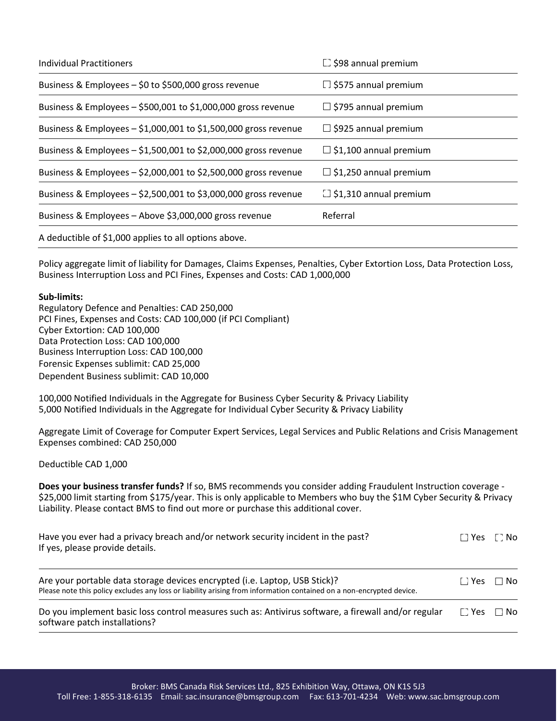| <b>Individual Practitioners</b>                                 | $\Box$ \$98 annual premium    |
|-----------------------------------------------------------------|-------------------------------|
| Business & Employees - \$0 to \$500,000 gross revenue           | $\Box$ \$575 annual premium   |
| Business & Employees $-$ \$500,001 to \$1,000,000 gross revenue | $\Box$ \$795 annual premium   |
| Business & Employees - \$1,000,001 to \$1,500,000 gross revenue | $\Box$ \$925 annual premium   |
| Business & Employees - \$1,500,001 to \$2,000,000 gross revenue | $\Box$ \$1,100 annual premium |
| Business & Employees - \$2,000,001 to \$2,500,000 gross revenue | $\Box$ \$1,250 annual premium |
| Business & Employees - \$2,500,001 to \$3,000,000 gross revenue | $\Box$ \$1,310 annual premium |
| Business & Employees - Above \$3,000,000 gross revenue          | Referral                      |
| A deductible of \$1,000 applies to all options above.           |                               |

Policy aggregate limit of liability for Damages, Claims Expenses, Penalties, Cyber Extortion Loss, Data Protection Loss, Business Interruption Loss and PCI Fines, Expenses and Costs: CAD 1,000,000

#### **Sub-limits:**

Regulatory Defence and Penalties: CAD 250,000 PCI Fines, Expenses and Costs: CAD 100,000 (if PCI Compliant) Cyber Extortion: CAD 100,000 Data Protection Loss: CAD 100,000 Business Interruption Loss: CAD 100,000 Forensic Expenses sublimit: CAD 25,000 Dependent Business sublimit: CAD 10,000

100,000 Notified Individuals in the Aggregate for Business Cyber Security & Privacy Liability 5,000 Notified Individuals in the Aggregate for Individual Cyber Security & Privacy Liability

Aggregate Limit of Coverage for Computer Expert Services, Legal Services and Public Relations and Crisis Management Expenses combined: CAD 250,000

Deductible CAD 1,000

**Does your business transfer funds?** If so, BMS recommends you consider adding Fraudulent Instruction coverage - \$25,000 limit starting from \$175/year. This is only applicable to Members who buy the \$1M Cyber Security & Privacy Liability. Please contact BMS to find out more or purchase this additional cover.

| Have you ever had a privacy breach and/or network security incident in the past?<br>If yes, please provide details.                                                                                |              | $\Box$ No |
|----------------------------------------------------------------------------------------------------------------------------------------------------------------------------------------------------|--------------|-----------|
| Are your portable data storage devices encrypted (i.e. Laptop, USB Stick)?<br>Please note this policy excludes any loss or liability arising from information contained on a non-encrypted device. | r 1 Yesi     | $\Box$ No |
| Do you implement basic loss control measures such as: Antivirus software, a firewall and/or regular<br>software patch installations?                                                               | $\Gamma$ Yes | $\Box$ No |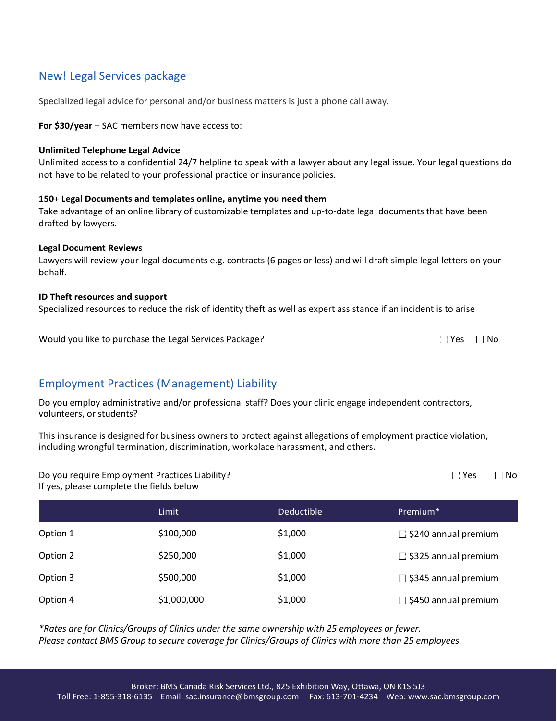### New! Legal Services package

Specialized legal advice for personal and/or business matters is just a phone call away.

**For \$30/year** – SAC members now have access to:

#### **Unlimited Telephone Legal Advice**

Unlimited access to a confidential 24/7 helpline to speak with a lawyer about any legal issue. Your legal questions do not have to be related to your professional practice or insurance policies.

#### **150+ Legal Documents and templates online, anytime you need them**

Take advantage of an online library of customizable templates and up-to-date legal documents that have been drafted by lawyers.

#### **Legal Document Reviews**

Lawyers will review your legal documents e.g. contracts (6 pages or less) and will draft simple legal letters on your behalf.

#### **ID Theft resources and support**

Specialized resources to reduce the risk of identity theft as well as expert assistance if an incident is to arise

Would you like to purchase the Legal Services Package?  $\square$  Yes  $\square$  No

### Employment Practices (Management) Liability

Do you employ administrative and/or professional staff? Does your clinic engage independent contractors, volunteers, or students?

This insurance is designed for business owners to protect against allegations of employment practice violation, including wrongful termination, discrimination, workplace harassment, and others.

Do you require Employment Practices Liability? If yes, please complete the fields below

|          | Limit       | <b>Deductible</b> | Premium <sup>*</sup>        |
|----------|-------------|-------------------|-----------------------------|
| Option 1 | \$100,000   | \$1,000           | $\Box$ \$240 annual premium |
| Option 2 | \$250,000   | \$1,000           | $\Box$ \$325 annual premium |
| Option 3 | \$500,000   | \$1,000           | $\Box$ \$345 annual premium |
| Option 4 | \$1,000,000 | \$1,000           | $\Box$ \$450 annual premium |

*\*Rates are for Clinics/Groups of Clinics under the same ownership with 25 employees or fewer. Please contact BMS Group to secure coverage for Clinics/Groups of Clinics with more than 25 employees.*

 $\Box$  Yes  $\Box$  No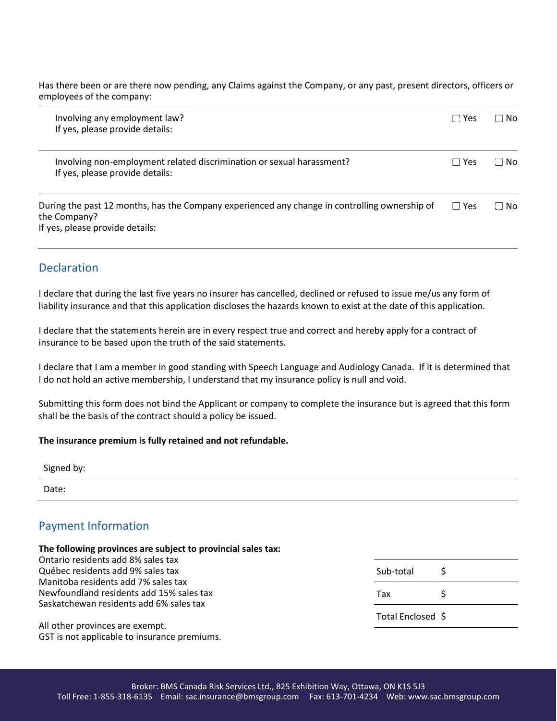Has there been or are there now pending, any Claims against the Company, or any past, present directors, officers or employees of the company:

| Involving any employment law?<br>If yes, please provide details:                                                                                 | $\Box$ Yes   | $\Box$ No |
|--------------------------------------------------------------------------------------------------------------------------------------------------|--------------|-----------|
| Involving non-employment related discrimination or sexual harassment?<br>If yes, please provide details:                                         | $\sqcap$ Yes | ∴∃No      |
| During the past 12 months, has the Company experienced any change in controlling ownership of<br>the Company?<br>If yes, please provide details: | $\Box$ Yes   | $\Box$ No |

### **Declaration**

I declare that during the last five years no insurer has cancelled, declined or refused to issue me/us any form of liability insurance and that this application discloses the hazards known to exist at the date of this application.

I declare that the statements herein are in every respect true and correct and hereby apply for a contract of insurance to be based upon the truth of the said statements.

I declare that I am a member in good standing with Speech Language and Audiology Canada. If it is determined that I do not hold an active membership, I understand that my insurance policy is null and void.

Submitting this form does not bind the Applicant or company to complete the insurance but is agreed that this form shall be the basis of the contract should a policy be issued.

#### **The insurance premium is fully retained and not refundable.**

| Signed by: |  |  |
|------------|--|--|
| Date:      |  |  |
|            |  |  |

### Payment Information

#### **The following provinces are subject to provincial sales tax:**

Ontario residents add 8% sales tax Québec residents add 9% sales tax Manitoba residents add 7% sales tax Newfoundland residents add 15% sales tax Saskatchewan residents add 6% sales tax Sub-total \$ Tax  $\uparrow$ 

All other provinces are exempt. GST is not applicable to insurance premiums.

| Sub-total         | \$ |
|-------------------|----|
| Tax               | ς  |
| Total Enclosed \$ |    |